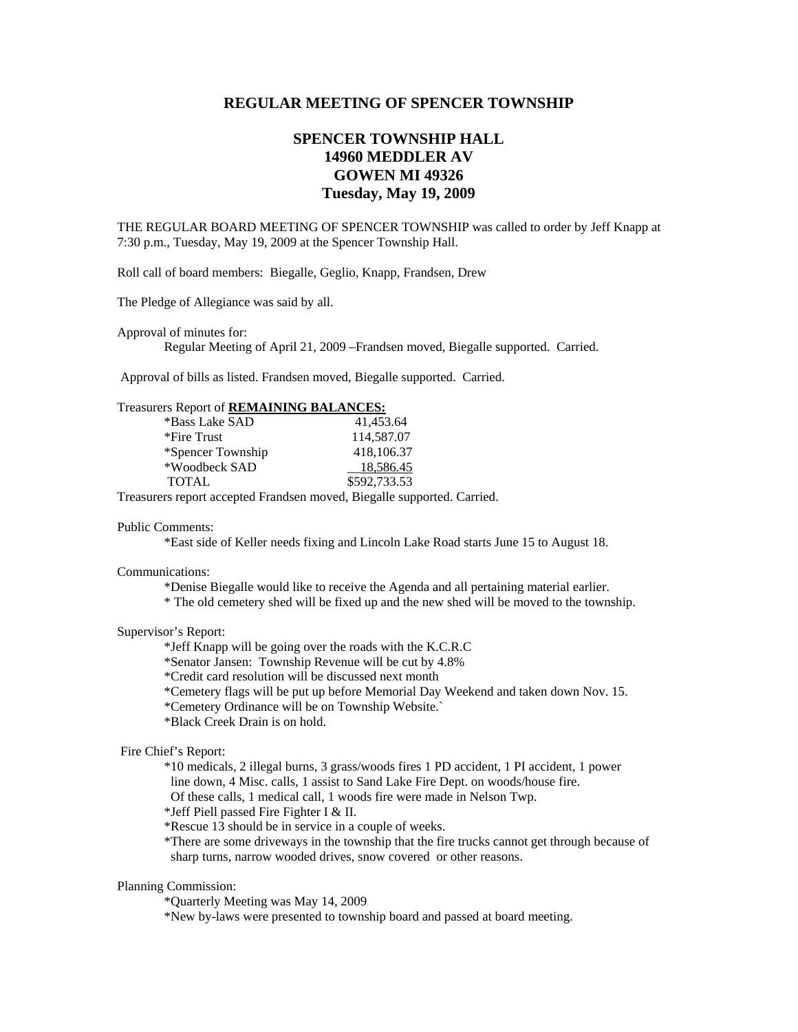# **REGULAR MEETING OF SPENCER TOWNSHIP**

# **SPENCER TOWNSHIP HALL 14960 MEDDLER AV GOWEN MI 49326 Tuesday, May 19, 2009**

THE REGULAR BOARD MEETING OF SPENCER TOWNSHIP was called to order by Jeff Knapp at 7:30 p.m., Tuesday, May 19, 2009 at the Spencer Township Hall.

Roll call of board members: Biegalle, Geglio, Knapp, Frandsen, Drew

The Pledge of Allegiance was said by all.

Approval of minutes for:

Regular Meeting of April 21, 2009 –Frandsen moved, Biegalle supported. Carried.

Approval of bills as listed. Frandsen moved, Biegalle supported. Carried.

### Treasurers Report of **REMAINING BALANCES:**

| *Bass Lake SAD    | 41,453.64    |
|-------------------|--------------|
| *Fire Trust       | 114,587.07   |
| *Spencer Township | 418,106.37   |
| *Woodbeck SAD     | 18.586.45    |
| <b>TOTAL</b>      | \$592,733.53 |

Treasurers report accepted Frandsen moved, Biegalle supported. Carried.

#### Public Comments:

\*East side of Keller needs fixing and Lincoln Lake Road starts June 15 to August 18.

#### Communications:

\*Denise Biegalle would like to receive the Agenda and all pertaining material earlier.

\* The old cemetery shed will be fixed up and the new shed will be moved to the township.

#### Supervisor's Report:

\*Jeff Knapp will be going over the roads with the K.C.R.C

\*Senator Jansen: Township Revenue will be cut by 4.8%

\*Credit card resolution will be discussed next month

\*Cemetery flags will be put up before Memorial Day Weekend and taken down Nov. 15.

\*Cemetery Ordinance will be on Township Website.`

\*Black Creek Drain is on hold.

## Fire Chief's Report:

 \*10 medicals, 2 illegal burns, 3 grass/woods fires 1 PD accident, 1 PI accident, 1 power line down, 4 Misc. calls, 1 assist to Sand Lake Fire Dept. on woods/house fire.

Of these calls, 1 medical call, 1 woods fire were made in Nelson Twp.

\*Jeff Piell passed Fire Fighter I & II.

\*Rescue 13 should be in service in a couple of weeks.

 \*There are some driveways in the township that the fire trucks cannot get through because of sharp turns, narrow wooded drives, snow covered or other reasons.

#### Planning Commission:

\*Quarterly Meeting was May 14, 2009

\*New by-laws were presented to township board and passed at board meeting.